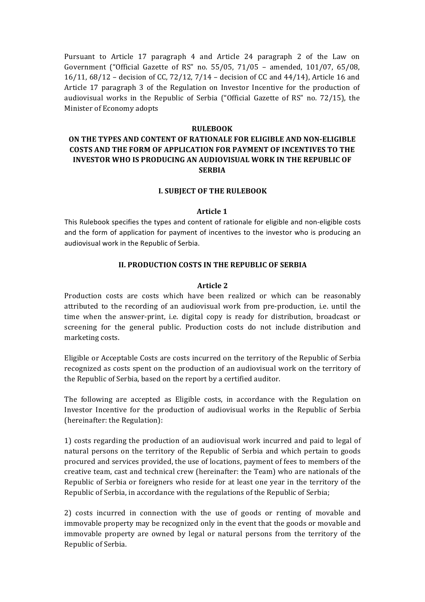Pursuant to Article 17 paragraph 4 and Article 24 paragraph 2 of the Law on Government ("Official Gazette of RS" no. 55/05, 71/05 - amended, 101/07, 65/08, 16/11, 68/12 – decision of CC, 72/12, 7/14 – decision of CC and  $44/14$ ), Article 16 and Article 17 paragraph 3 of the Regulation on Investor Incentive for the production of audiovisual works in the Republic of Serbia ("Official Gazette of  $RS''$  no. 72/15), the Minister of Economy adopts

#### **RULEBOOK**

# **ON THE TYPES AND CONTENT OF RATIONALE FOR ELIGIBLE AND NON-ELIGIBLE COSTS AND THE FORM OF APPLICATION FOR PAYMENT OF INCENTIVES TO THE INVESTOR WHO IS PRODUCING AN AUDIOVISUAL WORK IN THE REPUBLIC OF SERBIA**

#### **I. SUBJECT OF THE RULEBOOK**

#### **Article 1**

This Rulebook specifies the types and content of rationale for eligible and non-eligible costs and the form of application for payment of incentives to the investor who is producing an audiovisual work in the Republic of Serbia.

#### **II. PRODUCTION COSTS IN THE REPUBLIC OF SERBIA**

#### **Article 2**

Production costs are costs which have been realized or which can be reasonably attributed to the recording of an audiovisual work from pre-production, i.e. until the time when the answer-print, i.e. digital copy is ready for distribution, broadcast or screening for the general public. Production costs do not include distribution and marketing costs.

Eligible or Acceptable Costs are costs incurred on the territory of the Republic of Serbia recognized as costs spent on the production of an audiovisual work on the territory of the Republic of Serbia, based on the report by a certified auditor.

The following are accepted as Eligible costs, in accordance with the Regulation on Investor Incentive for the production of audiovisual works in the Republic of Serbia (hereinafter: the Regulation):

1) costs regarding the production of an audiovisual work incurred and paid to legal of natural persons on the territory of the Republic of Serbia and which pertain to goods procured and services provided, the use of locations, payment of fees to members of the creative team, cast and technical crew (hereinafter: the Team) who are nationals of the Republic of Serbia or foreigners who reside for at least one year in the territory of the Republic of Serbia, in accordance with the regulations of the Republic of Serbia;

2) costs incurred in connection with the use of goods or renting of movable and immovable property may be recognized only in the event that the goods or movable and immovable property are owned by legal or natural persons from the territory of the Republic of Serbia.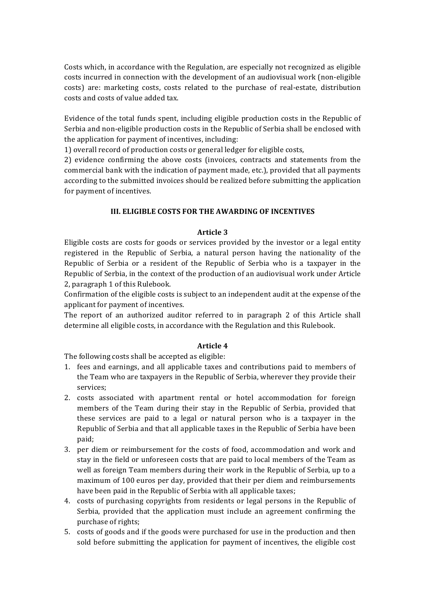Costs which, in accordance with the Regulation, are especially not recognized as eligible costs incurred in connection with the development of an audiovisual work (non-eligible costs) are: marketing costs, costs related to the purchase of real-estate, distribution costs and costs of value added tax.

Evidence of the total funds spent, including eligible production costs in the Republic of Serbia and non-eligible production costs in the Republic of Serbia shall be enclosed with the application for payment of incentives, including:

1) overall record of production costs or general ledger for eligible costs,

2) evidence confirming the above costs (invoices, contracts and statements from the commercial bank with the indication of payment made, etc.), provided that all payments according to the submitted invoices should be realized before submitting the application for payment of incentives.

# **III. ELIGIBLE COSTS FOR THE AWARDING OF INCENTIVES**

## **Article 3**

Eligible costs are costs for goods or services provided by the investor or a legal entity registered in the Republic of Serbia, a natural person having the nationality of the Republic of Serbia or a resident of the Republic of Serbia who is a taxpayer in the Republic of Serbia, in the context of the production of an audiovisual work under Article 2, paragraph 1 of this Rulebook.

Confirmation of the eligible costs is subject to an independent audit at the expense of the applicant for payment of incentives.

The report of an authorized auditor referred to in paragraph 2 of this Article shall determine all eligible costs, in accordance with the Regulation and this Rulebook.

## **Article 4**

The following costs shall be accepted as eligible:

- 1. fees and earnings, and all applicable taxes and contributions paid to members of the Team who are taxpayers in the Republic of Serbia, wherever they provide their services;
- 2. costs associated with apartment rental or hotel accommodation for foreign members of the Team during their stay in the Republic of Serbia, provided that these services are paid to a legal or natural person who is a taxpayer in the Republic of Serbia and that all applicable taxes in the Republic of Serbia have been paid;
- 3. per diem or reimbursement for the costs of food, accommodation and work and stay in the field or unforeseen costs that are paid to local members of the Team as well as foreign Team members during their work in the Republic of Serbia, up to a maximum of 100 euros per day, provided that their per diem and reimbursements have been paid in the Republic of Serbia with all applicable taxes;
- 4. costs of purchasing copyrights from residents or legal persons in the Republic of Serbia, provided that the application must include an agreement confirming the purchase of rights;
- 5. costs of goods and if the goods were purchased for use in the production and then sold before submitting the application for payment of incentives, the eligible cost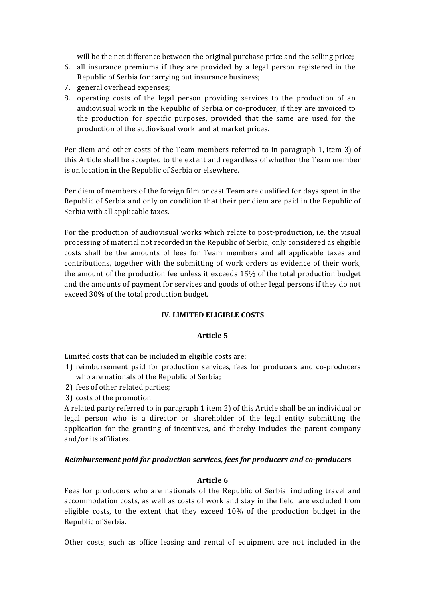will be the net difference between the original purchase price and the selling price;

- 6. all insurance premiums if they are provided by a legal person registered in the Republic of Serbia for carrying out insurance business;
- 7. general overhead expenses;
- 8. operating costs of the legal person providing services to the production of an audiovisual work in the Republic of Serbia or co-producer, if they are invoiced to the production for specific purposes, provided that the same are used for the production of the audiovisual work, and at market prices.

Per diem and other costs of the Team members referred to in paragraph 1, item 3) of this Article shall be accepted to the extent and regardless of whether the Team member is on location in the Republic of Serbia or elsewhere.

Per diem of members of the foreign film or cast Team are qualified for days spent in the Republic of Serbia and only on condition that their per diem are paid in the Republic of Serbia with all applicable taxes.

For the production of audiovisual works which relate to post-production, i.e. the visual processing of material not recorded in the Republic of Serbia, only considered as eligible costs shall be the amounts of fees for Team members and all applicable taxes and contributions, together with the submitting of work orders as evidence of their work, the amount of the production fee unless it exceeds 15% of the total production budget and the amounts of payment for services and goods of other legal persons if they do not exceed 30% of the total production budget.

## **IV. LIMITED ELIGIBLE COSTS**

## **Article 5**

Limited costs that can be included in eligible costs are:

- 1) reimbursement paid for production services, fees for producers and co-producers who are nationals of the Republic of Serbia;
- 2) fees of other related parties;
- 3) costs of the promotion.

A related party referred to in paragraph 1 item 2) of this Article shall be an individual or legal person who is a director or shareholder of the legal entity submitting the application for the granting of incentives, and thereby includes the parent company and/or its affiliates.

## *Reimbursement paid for production services, fees for producers and co-producers*

## **Article 6**

Fees for producers who are nationals of the Republic of Serbia, including travel and accommodation costs, as well as costs of work and stay in the field, are excluded from eligible costs, to the extent that they exceed 10% of the production budget in the Republic of Serbia.

Other costs, such as office leasing and rental of equipment are not included in the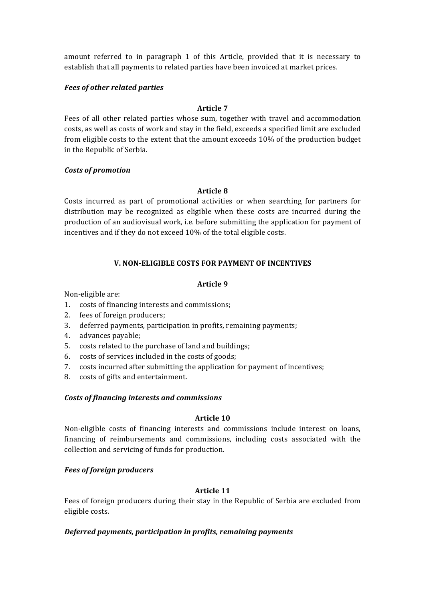amount referred to in paragraph 1 of this Article, provided that it is necessary to establish that all payments to related parties have been invoiced at market prices.

# *Fees of other related parties*

# **Article 7**

Fees of all other related parties whose sum, together with travel and accommodation costs, as well as costs of work and stay in the field, exceeds a specified limit are excluded from eligible costs to the extent that the amount exceeds 10% of the production budget in the Republic of Serbia.

## *Costs of promotion*

# **Article 8**

Costs incurred as part of promotional activities or when searching for partners for distribution may be recognized as eligible when these costs are incurred during the production of an audiovisual work, i.e. before submitting the application for payment of incentives and if they do not exceed 10% of the total eligible costs.

# **V. NON-ELIGIBLE COSTS FOR PAYMENT OF INCENTIVES**

# **Article 9**

Non-eligible are:

- 1. costs of financing interests and commissions;
- 2. fees of foreign producers;
- 3. deferred payments, participation in profits, remaining payments;
- 4. advances payable;
- 5. costs related to the purchase of land and buildings;
- 6. costs of services included in the costs of goods;
- 7. costs incurred after submitting the application for payment of incentives;
- 8. costs of gifts and entertainment.

## *Costs of financing interests and commissions*

## Article 10

Non-eligible costs of financing interests and commissions include interest on loans, financing of reimbursements and commissions, including costs associated with the collection and servicing of funds for production.

## *Fees of foreign producers*

## **Article 11**

Fees of foreign producers during their stay in the Republic of Serbia are excluded from eligible costs.

## **Deferred payments, participation in profits, remaining payments**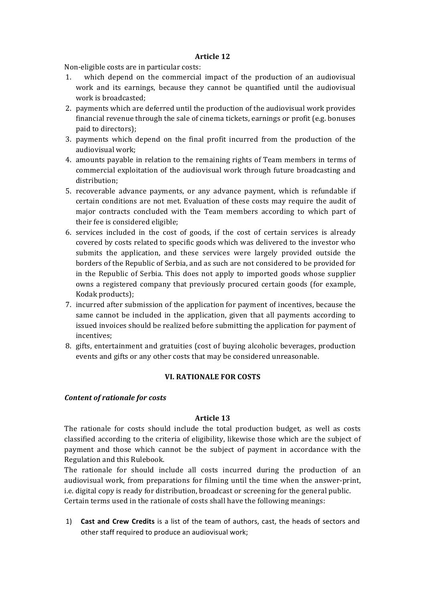#### **Article 12**

Non-eligible costs are in particular costs:

- 1. which depend on the commercial impact of the production of an audiovisual work and its earnings, because they cannot be quantified until the audiovisual work is broadcasted;
- 2. payments which are deferred until the production of the audiovisual work provides financial revenue through the sale of cinema tickets, earnings or profit (e.g. bonuses paid to directors);
- 3. payments which depend on the final profit incurred from the production of the audiovisual work;
- 4. amounts payable in relation to the remaining rights of Team members in terms of commercial exploitation of the audiovisual work through future broadcasting and distribution;
- 5. recoverable advance payments, or any advance payment, which is refundable if certain conditions are not met. Evaluation of these costs may require the audit of major contracts concluded with the Team members according to which part of their fee is considered eligible;
- 6. services included in the cost of goods, if the cost of certain services is already covered by costs related to specific goods which was delivered to the investor who submits the application, and these services were largely provided outside the borders of the Republic of Serbia, and as such are not considered to be provided for in the Republic of Serbia. This does not apply to imported goods whose supplier owns a registered company that previously procured certain goods (for example, Kodak products);
- 7. incurred after submission of the application for payment of incentives, because the same cannot be included in the application, given that all payments according to issued invoices should be realized before submitting the application for payment of incentives;
- 8. gifts, entertainment and gratuities (cost of buying alcoholic beverages, production events and gifts or any other costs that may be considered unreasonable.

## **VI. RATIONALE FOR COSTS**

## *Content of rationale for costs*

## **Article 13**

The rationale for costs should include the total production budget, as well as costs classified according to the criteria of eligibility, likewise those which are the subject of payment and those which cannot be the subject of payment in accordance with the Regulation and this Rulebook.

The rationale for should include all costs incurred during the production of an audiovisual work, from preparations for filming until the time when the answer-print, i.e. digital copy is ready for distribution, broadcast or screening for the general public. Certain terms used in the rationale of costs shall have the following meanings:

1) **Cast and Crew Credits** is a list of the team of authors, cast, the heads of sectors and other staff required to produce an audiovisual work;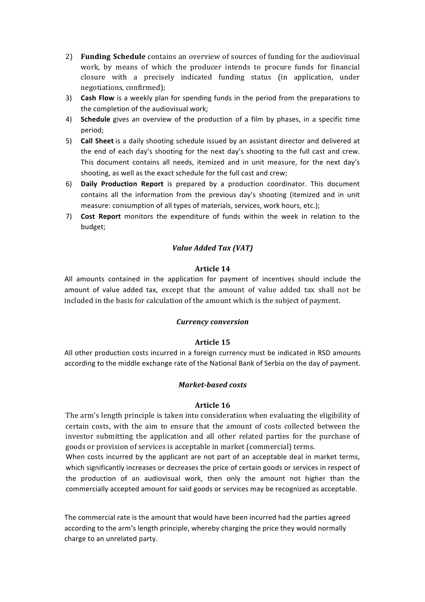- 2) **Funding Schedule** contains an overview of sources of funding for the audiovisual work, by means of which the producer intends to procure funds for financial closure with a precisely indicated funding status (in application, under negotiations, confirmed);
- 3) **Cash Flow** is a weekly plan for spending funds in the period from the preparations to the completion of the audiovisual work:
- 4) **Schedule** gives an overview of the production of a film by phases, in a specific time period;
- 5) **Call Sheet** is a daily shooting schedule issued by an assistant director and delivered at the end of each day's shooting for the next day's shooting to the full cast and crew. This document contains all needs, itemized and in unit measure, for the next day's shooting, as well as the exact schedule for the full cast and crew;
- 6) **Daily Production Report** is prepared by a production coordinator. This document contains all the information from the previous day's shooting (itemized and in unit measure: consumption of all types of materials, services, work hours, etc.);
- 7) **Cost Report** monitors the expenditure of funds within the week in relation to the budget;

# *Value Added Tax (VAT)*

#### **Article 14**

All amounts contained in the application for payment of incentives should include the amount of value added tax, except that the amount of value added tax shall not be included in the basis for calculation of the amount which is the subject of payment.

#### *Currency conversion*

## **Article 15**

All other production costs incurred in a foreign currency must be indicated in RSD amounts according to the middle exchange rate of the National Bank of Serbia on the day of payment.

#### *Market-based costs*

#### **Article 16**

The arm's length principle is taken into consideration when evaluating the eligibility of certain costs, with the aim to ensure that the amount of costs collected between the investor submitting the application and all other related parties for the purchase of goods or provision of services is acceptable in market (commercial) terms.

When costs incurred by the applicant are not part of an acceptable deal in market terms, which significantly increases or decreases the price of certain goods or services in respect of the production of an audiovisual work, then only the amount not higher than the commercially accepted amount for said goods or services may be recognized as acceptable.

The commercial rate is the amount that would have been incurred had the parties agreed according to the arm's length principle, whereby charging the price they would normally charge to an unrelated party.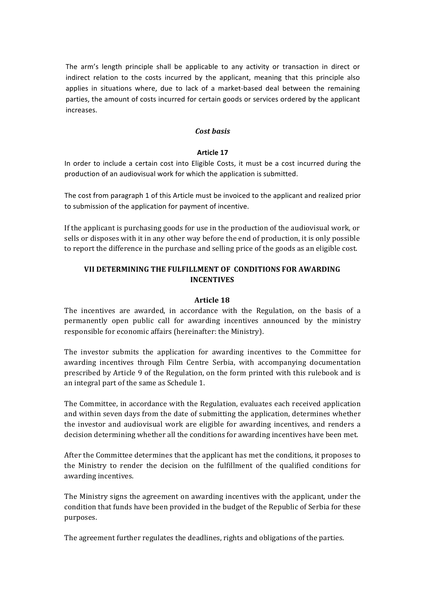The arm's length principle shall be applicable to any activity or transaction in direct or indirect relation to the costs incurred by the applicant, meaning that this principle also applies in situations where, due to lack of a market-based deal between the remaining parties, the amount of costs incurred for certain goods or services ordered by the applicant increases.

#### *Cost basis*

#### **Article 17**

In order to include a certain cost into Eligible Costs, it must be a cost incurred during the production of an audiovisual work for which the application is submitted.

The cost from paragraph 1 of this Article must be invoiced to the applicant and realized prior to submission of the application for payment of incentive.

If the applicant is purchasing goods for use in the production of the audiovisual work, or sells or disposes with it in any other way before the end of production, it is only possible to report the difference in the purchase and selling price of the goods as an eligible cost.

# VII DETERMINING THE FULFILLMENT OF CONDITIONS FOR AWARDING **INCENTIVES**

#### **Article 18**

The incentives are awarded, in accordance with the Regulation, on the basis of a permanently open public call for awarding incentives announced by the ministry responsible for economic affairs (hereinafter: the Ministry).

The investor submits the application for awarding incentives to the Committee for awarding incentives through Film Centre Serbia, with accompanying documentation prescribed by Article 9 of the Regulation, on the form printed with this rulebook and is an integral part of the same as Schedule 1.

The Committee, in accordance with the Regulation, evaluates each received application and within seven days from the date of submitting the application, determines whether the investor and audiovisual work are eligible for awarding incentives, and renders a decision determining whether all the conditions for awarding incentives have been met.

After the Committee determines that the applicant has met the conditions, it proposes to the Ministry to render the decision on the fulfillment of the qualified conditions for awarding incentives.

The Ministry signs the agreement on awarding incentives with the applicant, under the condition that funds have been provided in the budget of the Republic of Serbia for these purposes.

The agreement further regulates the deadlines, rights and obligations of the parties.